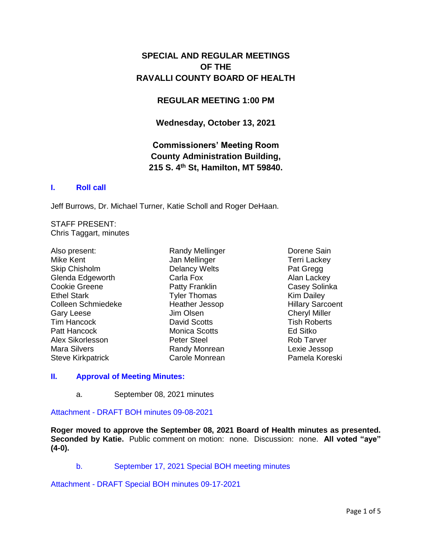# **SPECIAL AND REGULAR MEETINGS OF THE RAVALLI COUNTY BOARD OF HEALTH**

## **REGULAR MEETING 1:00 PM**

**Wednesday, October 13, 2021**

# **Commissioners' Meeting Room County Administration Building, 215 S. 4th St, Hamilton, MT 59840.**

### **I. [Roll call](http://ravalli-mt.granicus.com/wordlinkreceiver.php?clip_id=42f20fb2-4b43-4f83-bda0-7ee1d26e7c41&meta_id=c6c48265-6e90-4e9b-a09a-aec82db54813&time=44)**

Jeff Burrows, Dr. Michael Turner, Katie Scholl and Roger DeHaan.

STAFF PRESENT: Chris Taggart, minutes

Also present: Mike Kent Skip Chisholm Glenda Edgeworth Cookie Greene Ethel Stark Colleen Schmiedeke Gary Leese Tim Hancock Patt Hancock Alex Sikorlesson Mara Silvers Steve Kirkpatrick

Randy Mellinger Jan Mellinger Delancy Welts Carla Fox Patty Franklin Tyler Thomas Heather Jessop Jim Olsen David Scotts Monica Scotts Peter Steel Randy Monrean Carole Monrean

Dorene Sain Terri Lackey Pat Gregg Alan Lackey Casey Solinka Kim Dailey Hillary Sarcoent Cheryl Miller Tish Roberts Ed Sitko Rob Tarver Lexie Jessop Pamela Koreski

#### **II. [Approval of Meeting Minutes:](http://ravalli-mt.granicus.com/wordlinkreceiver.php?clip_id=42f20fb2-4b43-4f83-bda0-7ee1d26e7c41&meta_id=83174b9a-f98f-49eb-aa6c-121fa143810c&time=52)**

a. September 08, 2021 minutes

Attachment - [DRAFT BOH minutes 09-08-2021](http://ravalli-mt.granicus.com/DocumentViewer.php?file=ravalli-mt_4e3077f2ba1168504ede702787d79b80.pdf)

**Roger moved to approve the September 08, 2021 Board of Health minutes as presented. Seconded by Katie.** Public comment on motion: none. Discussion: none. **All voted "aye" (4-0).**

b. [September 17, 2021 Special BOH meeting minutes](http://ravalli-mt.granicus.com/wordlinkreceiver.php?clip_id=42f20fb2-4b43-4f83-bda0-7ee1d26e7c41&meta_id=4a60bdea-4807-42f0-9331-3656f0eb6150&time=89)

Attachment - [DRAFT Special BOH minutes 09-17-2021](http://ravalli-mt.granicus.com/DocumentViewer.php?file=ravalli-mt_e89f259786be3a6ac764b4d52d5cff88.pdf)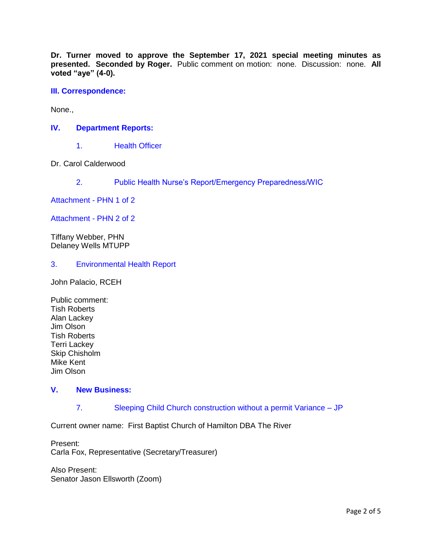**Dr. Turner moved to approve the September 17, 2021 special meeting minutes as presented. Seconded by Roger.** Public comment on motion: none. Discussion: none. **All voted "aye" (4-0).**

**[III. Correspondence:](http://ravalli-mt.granicus.com/wordlinkreceiver.php?clip_id=42f20fb2-4b43-4f83-bda0-7ee1d26e7c41&meta_id=e84e24bd-c300-4310-8c41-9b9165980a4b&time=115)**

None.,

### **IV. [Department Reports:](http://ravalli-mt.granicus.com/wordlinkreceiver.php?clip_id=42f20fb2-4b43-4f83-bda0-7ee1d26e7c41&meta_id=da5763f4-7ca8-42c8-92a5-a724ae956c15&time=120)**

1. [Health Officer](http://ravalli-mt.granicus.com/wordlinkreceiver.php?clip_id=42f20fb2-4b43-4f83-bda0-7ee1d26e7c41&meta_id=7a2ed7a8-819e-4f5f-bca9-657f05523ad5&time=121)

Dr. Carol Calderwood

2. [Public Health Nurse's Report/Emergency Preparedness/WIC](http://ravalli-mt.granicus.com/wordlinkreceiver.php?clip_id=42f20fb2-4b43-4f83-bda0-7ee1d26e7c41&meta_id=a3bafaaa-7d97-4015-89f6-088ad5418d65&time=191)

[Attachment -](http://ravalli-mt.granicus.com/DocumentViewer.php?file=ravalli-mt_70a3477ad2fd1ef978b988b32bf26918.pdf) PHN 1 of 2

[Attachment -](http://ravalli-mt.granicus.com/DocumentViewer.php?file=ravalli-mt_d6881a314e49bb5738579aa4789fdb84.pdf) PHN 2 of 2

Tiffany Webber, PHN Delaney Wells MTUPP

3. [Environmental Health Report](http://ravalli-mt.granicus.com/wordlinkreceiver.php?clip_id=42f20fb2-4b43-4f83-bda0-7ee1d26e7c41&meta_id=4e7755a4-93d4-4489-8824-f0ba30b4dee0&time=860)

John Palacio, RCEH

Public comment: Tish Roberts Alan Lackey Jim Olson Tish Roberts Terri Lackey Skip Chisholm Mike Kent Jim Olson

#### **V. [New Business:](http://ravalli-mt.granicus.com/wordlinkreceiver.php?clip_id=42f20fb2-4b43-4f83-bda0-7ee1d26e7c41&meta_id=9bb6cffb-2fc6-415d-be2e-e57c02fdde2e&time=3681)**

7. [Sleeping Child Church construction without a permit Variance –](http://ravalli-mt.granicus.com/wordlinkreceiver.php?clip_id=42f20fb2-4b43-4f83-bda0-7ee1d26e7c41&meta_id=b37e9163-3400-462d-ac84-605a737890ad&time=3705) JP

Current owner name: First Baptist Church of Hamilton DBA The River

Present: Carla Fox, Representative (Secretary/Treasurer)

Also Present: Senator Jason Ellsworth (Zoom)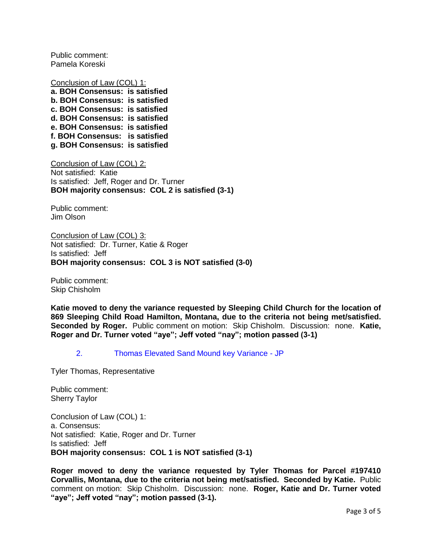Public comment: Pamela Koreski

Conclusion of Law (COL) 1: **a. BOH Consensus: is satisfied b. BOH Consensus: is satisfied c. BOH Consensus: is satisfied d. BOH Consensus: is satisfied e. BOH Consensus: is satisfied f. BOH Consensus: is satisfied g. BOH Consensus: is satisfied**

Conclusion of Law (COL) 2: Not satisfied: Katie Is satisfied: Jeff, Roger and Dr. Turner **BOH majority consensus: COL 2 is satisfied (3-1)**

Public comment: Jim Olson

Conclusion of Law (COL) 3: Not satisfied: Dr. Turner, Katie & Roger Is satisfied: Jeff **BOH majority consensus: COL 3 is NOT satisfied (3-0)**

Public comment: Skip Chisholm

**Katie moved to deny the variance requested by Sleeping Child Church for the location of 869 Sleeping Child Road Hamilton, Montana, due to the criteria not being met/satisfied. Seconded by Roger.** Public comment on motion: Skip Chisholm. Discussion: none. **Katie, Roger and Dr. Turner voted "aye"; Jeff voted "nay"; motion passed (3-1)**

2. [Thomas Elevated Sand Mound key Variance -](http://ravalli-mt.granicus.com/wordlinkreceiver.php?clip_id=42f20fb2-4b43-4f83-bda0-7ee1d26e7c41&meta_id=221a66cb-0896-42b8-b649-446695a7e619&time=9283) JP

Tyler Thomas, Representative

Public comment: Sherry Taylor

Conclusion of Law (COL) 1: a. Consensus: Not satisfied: Katie, Roger and Dr. Turner Is satisfied: Jeff **BOH majority consensus: COL 1 is NOT satisfied (3-1)**

**Roger moved to deny the variance requested by Tyler Thomas for Parcel #197410 Corvallis, Montana, due to the criteria not being met/satisfied. Seconded by Katie.** Public comment on motion: Skip Chisholm. Discussion: none. **Roger, Katie and Dr. Turner voted "aye"; Jeff voted "nay"; motion passed (3-1).**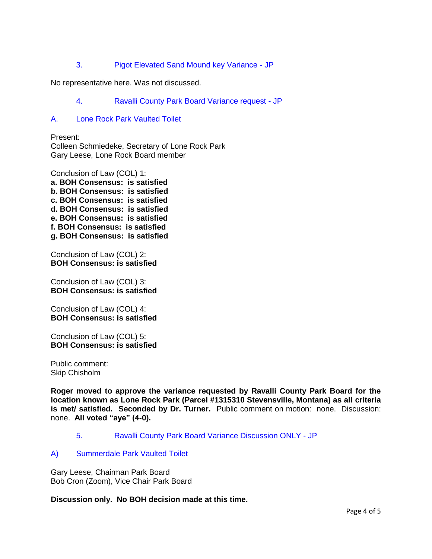3. [Pigot Elevated Sand Mound key Variance -](http://ravalli-mt.granicus.com/wordlinkreceiver.php?clip_id=42f20fb2-4b43-4f83-bda0-7ee1d26e7c41&meta_id=4b247cb1-7690-4f41-99d3-715820a9299d&time=11048) JP

No representative here. Was not discussed.

- 4. [Ravalli County Park Board Variance request -](http://ravalli-mt.granicus.com/wordlinkreceiver.php?clip_id=42f20fb2-4b43-4f83-bda0-7ee1d26e7c41&meta_id=bb8113ae-e909-4cc6-b063-f351c00bfb92&time=11058) JP
- A. [Lone Rock Park Vaulted Toilet](http://ravalli-mt.granicus.com/wordlinkreceiver.php?clip_id=42f20fb2-4b43-4f83-bda0-7ee1d26e7c41&meta_id=00f4c06b-81ba-4fd4-b25e-21da22ba11d6&time=11060)

Present: Colleen Schmiedeke, Secretary of Lone Rock Park Gary Leese, Lone Rock Board member

Conclusion of Law (COL) 1: **a. BOH Consensus: is satisfied b. BOH Consensus: is satisfied c. BOH Consensus: is satisfied d. BOH Consensus: is satisfied e. BOH Consensus: is satisfied f. BOH Consensus: is satisfied g. BOH Consensus: is satisfied**

Conclusion of Law (COL) 2: **BOH Consensus: is satisfied**

Conclusion of Law (COL) 3: **BOH Consensus: is satisfied**

Conclusion of Law (COL) 4: **BOH Consensus: is satisfied**

Conclusion of Law (COL) 5: **BOH Consensus: is satisfied**

Public comment: Skip Chisholm

**Roger moved to approve the variance requested by Ravalli County Park Board for the location known as Lone Rock Park (Parcel #1315310 Stevensville, Montana) as all criteria is met/ satisfied. Seconded by Dr. Turner.** Public comment on motion: none. Discussion: none. **All voted "aye" (4-0).**

5. [Ravalli County Park Board Variance Discussion ONLY -](http://ravalli-mt.granicus.com/wordlinkreceiver.php?clip_id=42f20fb2-4b43-4f83-bda0-7ee1d26e7c41&meta_id=0e24f294-c1c7-4e74-a5ab-74d230813de3&time=12227) JP

#### A) [Summerdale Park Vaulted Toilet](http://ravalli-mt.granicus.com/wordlinkreceiver.php?clip_id=42f20fb2-4b43-4f83-bda0-7ee1d26e7c41&meta_id=418f20a8-7bb5-43db-ac05-6f2c8a5c20cf&time=12264)

Gary Leese, Chairman Park Board Bob Cron (Zoom), Vice Chair Park Board

**Discussion only. No BOH decision made at this time.**